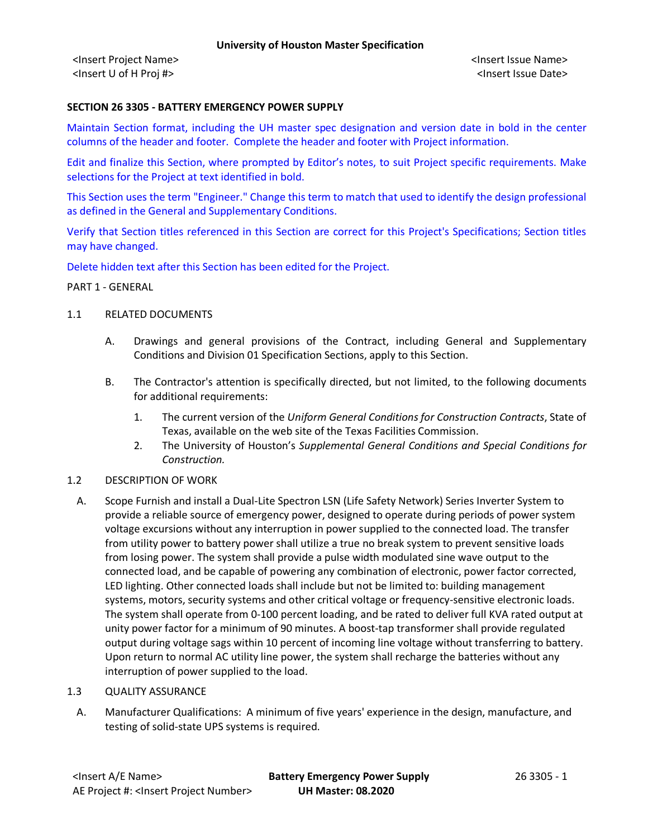#### **SECTION 26 3305 - BATTERY EMERGENCY POWER SUPPLY**

Maintain Section format, including the UH master spec designation and version date in bold in the center columns of the header and footer. Complete the header and footer with Project information.

Edit and finalize this Section, where prompted by Editor's notes, to suit Project specific requirements. Make selections for the Project at text identified in bold.

This Section uses the term "Engineer." Change this term to match that used to identify the design professional as defined in the General and Supplementary Conditions.

Verify that Section titles referenced in this Section are correct for this Project's Specifications; Section titles may have changed.

Delete hidden text after this Section has been edited for the Project.

PART 1 - GENERAL

### 1.1 RELATED DOCUMENTS

- A. Drawings and general provisions of the Contract, including General and Supplementary Conditions and Division 01 Specification Sections, apply to this Section.
- B. The Contractor's attention is specifically directed, but not limited, to the following documents for additional requirements:
	- 1. The current version of the *Uniform General Conditions for Construction Contracts*, State of Texas, available on the web site of the Texas Facilities Commission.
	- 2. The University of Houston's *Supplemental General Conditions and Special Conditions for Construction.*

#### 1.2 DESCRIPTION OF WORK

- A. Scope Furnish and install a Dual-Lite Spectron LSN (Life Safety Network) Series Inverter System to provide a reliable source of emergency power, designed to operate during periods of power system voltage excursions without any interruption in power supplied to the connected load. The transfer from utility power to battery power shall utilize a true no break system to prevent sensitive loads from losing power. The system shall provide a pulse width modulated sine wave output to the connected load, and be capable of powering any combination of electronic, power factor corrected, LED lighting. Other connected loads shall include but not be limited to: building management systems, motors, security systems and other critical voltage or frequency-sensitive electronic loads. The system shall operate from 0-100 percent loading, and be rated to deliver full KVA rated output at unity power factor for a minimum of 90 minutes. A boost-tap transformer shall provide regulated output during voltage sags within 10 percent of incoming line voltage without transferring to battery. Upon return to normal AC utility line power, the system shall recharge the batteries without any interruption of power supplied to the load.
- 1.3 QUALITY ASSURANCE
	- A. Manufacturer Qualifications: A minimum of five years' experience in the design, manufacture, and testing of solid-state UPS systems is required.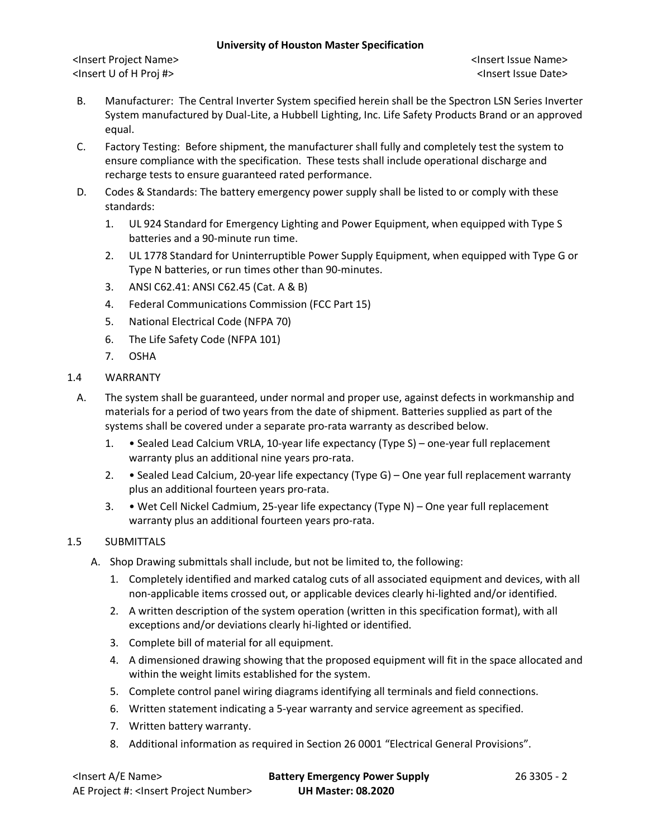<Insert Project Name> <Insert Issue Name> <Insert U of H Proj #> <Insert Issue Date>

- B. Manufacturer: The Central Inverter System specified herein shall be the Spectron LSN Series Inverter System manufactured by Dual-Lite, a Hubbell Lighting, Inc. Life Safety Products Brand or an approved equal.
- C. Factory Testing: Before shipment, the manufacturer shall fully and completely test the system to ensure compliance with the specification. These tests shall include operational discharge and recharge tests to ensure guaranteed rated performance.
- D. Codes & Standards: The battery emergency power supply shall be listed to or comply with these standards:
	- 1. UL 924 Standard for Emergency Lighting and Power Equipment, when equipped with Type S batteries and a 90-minute run time.
	- 2. UL 1778 Standard for Uninterruptible Power Supply Equipment, when equipped with Type G or Type N batteries, or run times other than 90-minutes.
	- 3. ANSI C62.41: ANSI C62.45 (Cat. A & B)
	- 4. Federal Communications Commission (FCC Part 15)
	- 5. National Electrical Code (NFPA 70)
	- 6. The Life Safety Code (NFPA 101)
	- 7. OSHA
- 1.4 WARRANTY
	- A. The system shall be guaranteed, under normal and proper use, against defects in workmanship and materials for a period of two years from the date of shipment. Batteries supplied as part of the systems shall be covered under a separate pro-rata warranty as described below.
		- 1. Sealed Lead Calcium VRLA, 10-year life expectancy (Type S) one-year full replacement warranty plus an additional nine years pro-rata.
		- 2. Sealed Lead Calcium, 20-year life expectancy (Type G) One year full replacement warranty plus an additional fourteen years pro-rata.
		- 3. Wet Cell Nickel Cadmium, 25-year life expectancy (Type N) One year full replacement warranty plus an additional fourteen years pro-rata.

# 1.5 SUBMITTALS

- A. Shop Drawing submittals shall include, but not be limited to, the following:
	- 1. Completely identified and marked catalog cuts of all associated equipment and devices, with all non-applicable items crossed out, or applicable devices clearly hi-lighted and/or identified.
	- 2. A written description of the system operation (written in this specification format), with all exceptions and/or deviations clearly hi-lighted or identified.
	- 3. Complete bill of material for all equipment.
	- 4. A dimensioned drawing showing that the proposed equipment will fit in the space allocated and within the weight limits established for the system.
	- 5. Complete control panel wiring diagrams identifying all terminals and field connections.
	- 6. Written statement indicating a 5-year warranty and service agreement as specified.
	- 7. Written battery warranty.
	- 8. Additional information as required in Section 26 0001 "Electrical General Provisions".

| <lnsert a="" e="" name=""></lnsert>                  | <b>Battery Emergency Power Supply</b> | 26 3305 - 2 |
|------------------------------------------------------|---------------------------------------|-------------|
| AE Project #: <lnsert number="" project=""></lnsert> | <b>UH Master: 08.2020</b>             |             |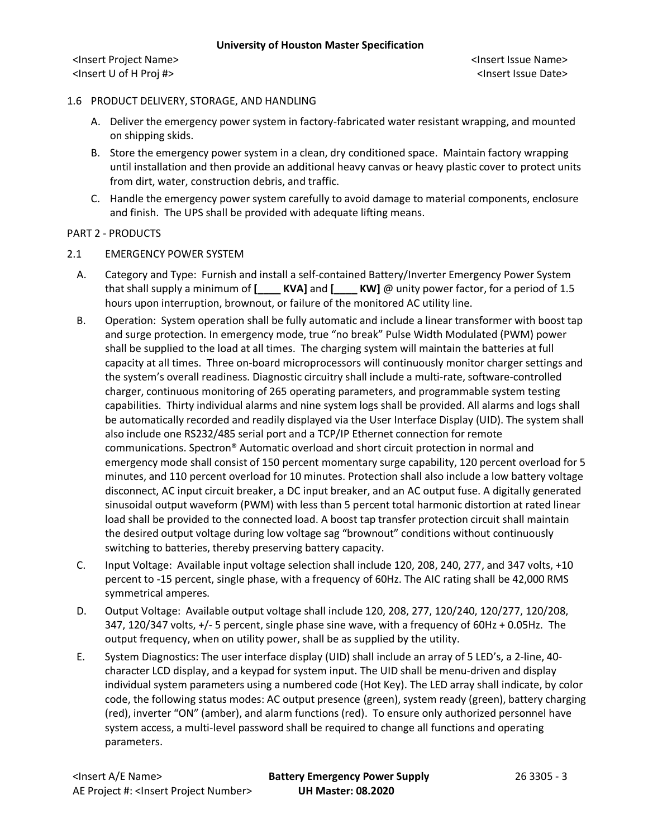### 1.6 PRODUCT DELIVERY, STORAGE, AND HANDLING

- A. Deliver the emergency power system in factory-fabricated water resistant wrapping, and mounted on shipping skids.
- B. Store the emergency power system in a clean, dry conditioned space. Maintain factory wrapping until installation and then provide an additional heavy canvas or heavy plastic cover to protect units from dirt, water, construction debris, and traffic.
- C. Handle the emergency power system carefully to avoid damage to material components, enclosure and finish. The UPS shall be provided with adequate lifting means.

### PART 2 - PRODUCTS

- 2.1 EMERGENCY POWER SYSTEM
	- A. Category and Type: Furnish and install a self-contained Battery/Inverter Emergency Power System that shall supply a minimum of **[\_\_\_\_ KVA]** and **[\_\_\_\_ KW]** @ unity power factor, for a period of 1.5 hours upon interruption, brownout, or failure of the monitored AC utility line.
	- B. Operation: System operation shall be fully automatic and include a linear transformer with boost tap and surge protection. In emergency mode, true "no break" Pulse Width Modulated (PWM) power shall be supplied to the load at all times. The charging system will maintain the batteries at full capacity at all times. Three on-board microprocessors will continuously monitor charger settings and the system's overall readiness. Diagnostic circuitry shall include a multi-rate, software-controlled charger, continuous monitoring of 265 operating parameters, and programmable system testing capabilities. Thirty individual alarms and nine system logs shall be provided. All alarms and logs shall be automatically recorded and readily displayed via the User Interface Display (UID). The system shall also include one RS232/485 serial port and a TCP/IP Ethernet connection for remote communications. Spectron® Automatic overload and short circuit protection in normal and emergency mode shall consist of 150 percent momentary surge capability, 120 percent overload for 5 minutes, and 110 percent overload for 10 minutes. Protection shall also include a low battery voltage disconnect, AC input circuit breaker, a DC input breaker, and an AC output fuse. A digitally generated sinusoidal output waveform (PWM) with less than 5 percent total harmonic distortion at rated linear load shall be provided to the connected load. A boost tap transfer protection circuit shall maintain the desired output voltage during low voltage sag "brownout" conditions without continuously switching to batteries, thereby preserving battery capacity.
	- C. Input Voltage: Available input voltage selection shall include 120, 208, 240, 277, and 347 volts, +10 percent to -15 percent, single phase, with a frequency of 60Hz. The AIC rating shall be 42,000 RMS symmetrical amperes.
	- D. Output Voltage: Available output voltage shall include 120, 208, 277, 120/240, 120/277, 120/208, 347, 120/347 volts, +/- 5 percent, single phase sine wave, with a frequency of 60Hz + 0.05Hz. The output frequency, when on utility power, shall be as supplied by the utility.
	- E. System Diagnostics: The user interface display (UID) shall include an array of 5 LED's, a 2-line, 40 character LCD display, and a keypad for system input. The UID shall be menu-driven and display individual system parameters using a numbered code (Hot Key). The LED array shall indicate, by color code, the following status modes: AC output presence (green), system ready (green), battery charging (red), inverter "ON" (amber), and alarm functions (red). To ensure only authorized personnel have system access, a multi-level password shall be required to change all functions and operating parameters.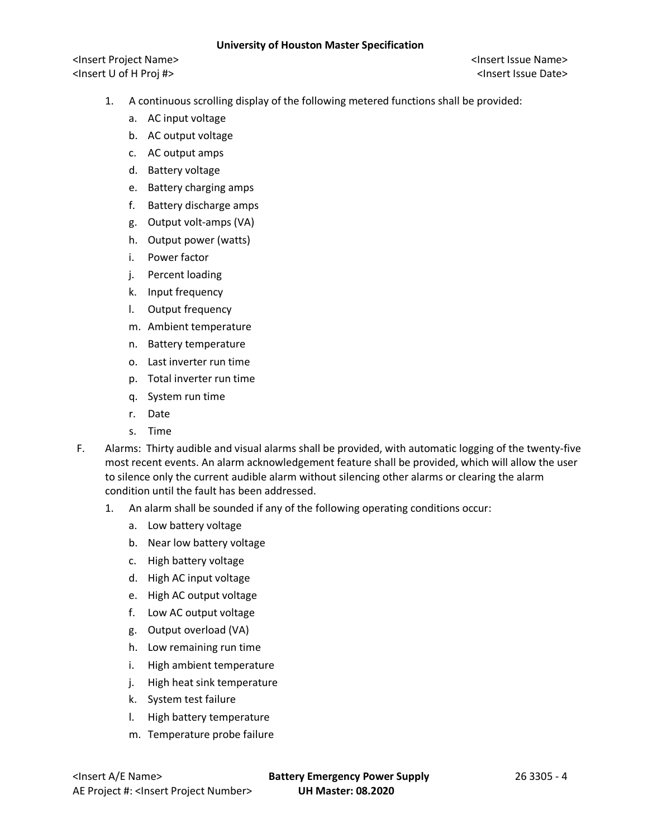- 1. A continuous scrolling display of the following metered functions shall be provided:
	- a. AC input voltage
	- b. AC output voltage
	- c. AC output amps
	- d. Battery voltage
	- e. Battery charging amps
	- f. Battery discharge amps
	- g. Output volt-amps (VA)
	- h. Output power (watts)
	- i. Power factor
	- j. Percent loading
	- k. Input frequency
	- l. Output frequency
	- m. Ambient temperature
	- n. Battery temperature
	- o. Last inverter run time
	- p. Total inverter run time
	- q. System run time
	- r. Date
	- s. Time
- F. Alarms: Thirty audible and visual alarms shall be provided, with automatic logging of the twenty-five most recent events. An alarm acknowledgement feature shall be provided, which will allow the user to silence only the current audible alarm without silencing other alarms or clearing the alarm condition until the fault has been addressed.
	- 1. An alarm shall be sounded if any of the following operating conditions occur:
		- a. Low battery voltage
		- b. Near low battery voltage
		- c. High battery voltage
		- d. High AC input voltage
		- e. High AC output voltage
		- f. Low AC output voltage
		- g. Output overload (VA)
		- h. Low remaining run time
		- i. High ambient temperature
		- j. High heat sink temperature
		- k. System test failure
		- l. High battery temperature
		- m. Temperature probe failure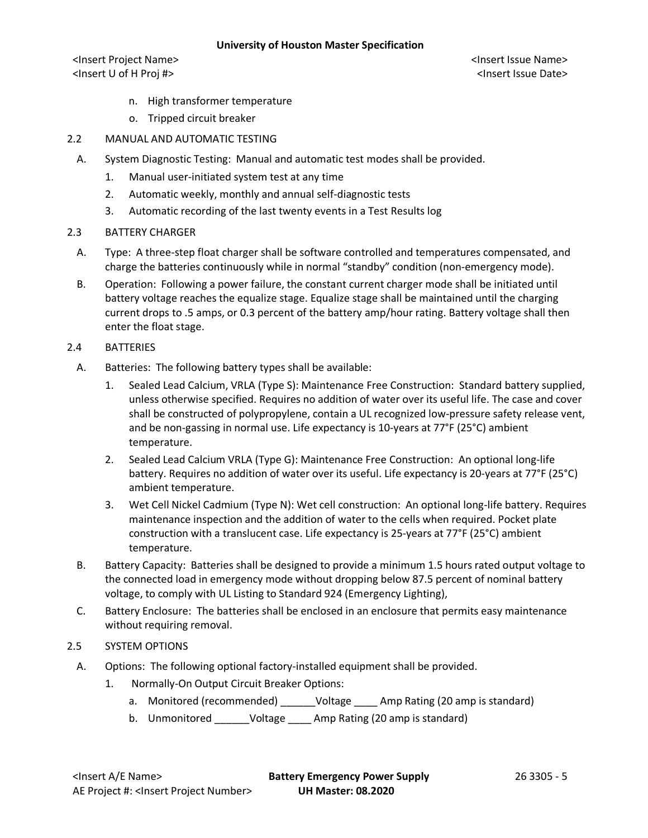<Insert Project Name> <Insert Issue Name> <Insert U of H Proj #> <Insert Issue Date>

- n. High transformer temperature
- o. Tripped circuit breaker
- 2.2 MANUAL AND AUTOMATIC TESTING
	- A. System Diagnostic Testing: Manual and automatic test modes shall be provided.
		- 1. Manual user-initiated system test at any time
		- 2. Automatic weekly, monthly and annual self-diagnostic tests
		- 3. Automatic recording of the last twenty events in a Test Results log
- 2.3 BATTERY CHARGER
	- A. Type: A three-step float charger shall be software controlled and temperatures compensated, and charge the batteries continuously while in normal "standby" condition (non-emergency mode).
	- B. Operation: Following a power failure, the constant current charger mode shall be initiated until battery voltage reaches the equalize stage. Equalize stage shall be maintained until the charging current drops to .5 amps, or 0.3 percent of the battery amp/hour rating. Battery voltage shall then enter the float stage.

### 2.4 BATTERIES

- A. Batteries: The following battery types shall be available:
	- 1. Sealed Lead Calcium, VRLA (Type S): Maintenance Free Construction: Standard battery supplied, unless otherwise specified. Requires no addition of water over its useful life. The case and cover shall be constructed of polypropylene, contain a UL recognized low-pressure safety release vent, and be non-gassing in normal use. Life expectancy is 10-years at 77°F (25°C) ambient temperature.
	- 2. Sealed Lead Calcium VRLA (Type G): Maintenance Free Construction: An optional long-life battery. Requires no addition of water over its useful. Life expectancy is 20-years at 77°F (25°C) ambient temperature.
	- 3. Wet Cell Nickel Cadmium (Type N): Wet cell construction: An optional long-life battery. Requires maintenance inspection and the addition of water to the cells when required. Pocket plate construction with a translucent case. Life expectancy is 25-years at 77°F (25°C) ambient temperature.
- B. Battery Capacity: Batteries shall be designed to provide a minimum 1.5 hours rated output voltage to the connected load in emergency mode without dropping below 87.5 percent of nominal battery voltage, to comply with UL Listing to Standard 924 (Emergency Lighting),
- C. Battery Enclosure: The batteries shall be enclosed in an enclosure that permits easy maintenance without requiring removal.

### 2.5 SYSTEM OPTIONS

- A. Options: The following optional factory-installed equipment shall be provided.
	- 1. Normally-On Output Circuit Breaker Options:
		- a. Monitored (recommended) \_\_\_\_\_\_Voltage \_\_\_\_ Amp Rating (20 amp is standard)
		- b. Unmonitored \_\_\_\_\_\_Voltage \_\_\_\_ Amp Rating (20 amp is standard)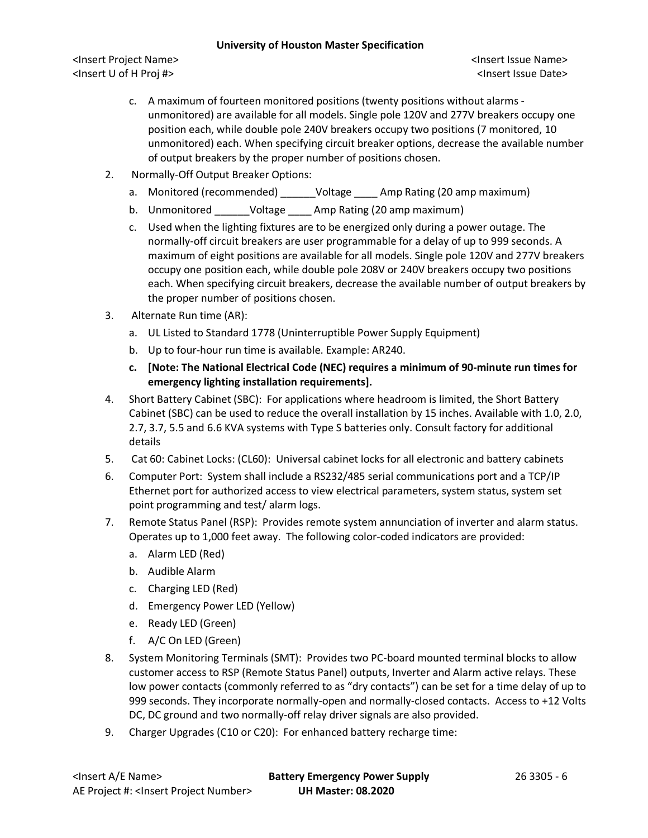- c. A maximum of fourteen monitored positions (twenty positions without alarms unmonitored) are available for all models. Single pole 120V and 277V breakers occupy one position each, while double pole 240V breakers occupy two positions (7 monitored, 10 unmonitored) each. When specifying circuit breaker options, decrease the available number of output breakers by the proper number of positions chosen.
- 2. Normally-Off Output Breaker Options:
	- a. Monitored (recommended) \_\_\_\_\_\_Voltage \_\_\_\_ Amp Rating (20 amp maximum)
	- b. Unmonitored \_\_\_\_\_\_Voltage \_\_\_\_ Amp Rating (20 amp maximum)
	- c. Used when the lighting fixtures are to be energized only during a power outage. The normally-off circuit breakers are user programmable for a delay of up to 999 seconds. A maximum of eight positions are available for all models. Single pole 120V and 277V breakers occupy one position each, while double pole 208V or 240V breakers occupy two positions each. When specifying circuit breakers, decrease the available number of output breakers by the proper number of positions chosen.
- 3. Alternate Run time (AR):
	- a. UL Listed to Standard 1778 (Uninterruptible Power Supply Equipment)
	- b. Up to four-hour run time is available. Example: AR240.
	- **c. [Note: The National Electrical Code (NEC) requires a minimum of 90-minute run times for emergency lighting installation requirements].**
- 4. Short Battery Cabinet (SBC): For applications where headroom is limited, the Short Battery Cabinet (SBC) can be used to reduce the overall installation by 15 inches. Available with 1.0, 2.0, 2.7, 3.7, 5.5 and 6.6 KVA systems with Type S batteries only. Consult factory for additional details
- 5. Cat 60: Cabinet Locks: (CL60): Universal cabinet locks for all electronic and battery cabinets
- 6. Computer Port: System shall include a RS232/485 serial communications port and a TCP/IP Ethernet port for authorized access to view electrical parameters, system status, system set point programming and test/ alarm logs.
- 7. Remote Status Panel (RSP): Provides remote system annunciation of inverter and alarm status. Operates up to 1,000 feet away. The following color-coded indicators are provided:
	- a. Alarm LED (Red)
	- b. Audible Alarm
	- c. Charging LED (Red)
	- d. Emergency Power LED (Yellow)
	- e. Ready LED (Green)
	- f. A/C On LED (Green)
- 8. System Monitoring Terminals (SMT): Provides two PC-board mounted terminal blocks to allow customer access to RSP (Remote Status Panel) outputs, Inverter and Alarm active relays. These low power contacts (commonly referred to as "dry contacts") can be set for a time delay of up to 999 seconds. They incorporate normally-open and normally-closed contacts. Access to +12 Volts DC, DC ground and two normally-off relay driver signals are also provided.
- 9. Charger Upgrades (C10 or C20): For enhanced battery recharge time: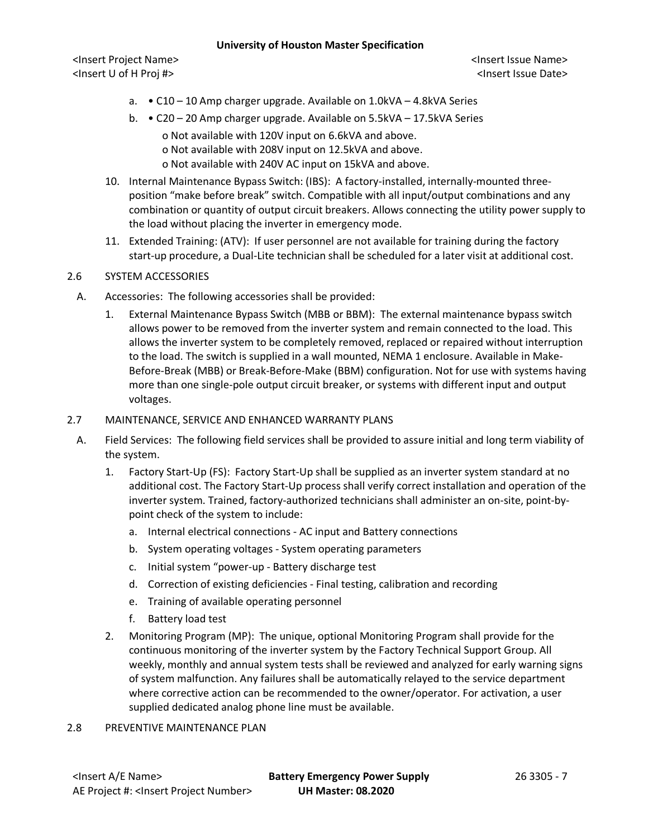<Insert Project Name> <Insert Issue Name> <Insert U of H Proj #> <Insert Issue Date>

- a. C10 10 Amp charger upgrade. Available on 1.0kVA 4.8kVA Series
- b. C20 20 Amp charger upgrade. Available on 5.5kVA 17.5kVA Series

o Not available with 120V input on 6.6kVA and above.

o Not available with 208V input on 12.5kVA and above.

o Not available with 240V AC input on 15kVA and above.

- 10. Internal Maintenance Bypass Switch: (IBS): A factory-installed, internally-mounted threeposition "make before break" switch. Compatible with all input/output combinations and any combination or quantity of output circuit breakers. Allows connecting the utility power supply to the load without placing the inverter in emergency mode.
- 11. Extended Training: (ATV): If user personnel are not available for training during the factory start-up procedure, a Dual-Lite technician shall be scheduled for a later visit at additional cost.

# 2.6 SYSTEM ACCESSORIES

- A. Accessories: The following accessories shall be provided:
	- 1. External Maintenance Bypass Switch (MBB or BBM): The external maintenance bypass switch allows power to be removed from the inverter system and remain connected to the load. This allows the inverter system to be completely removed, replaced or repaired without interruption to the load. The switch is supplied in a wall mounted, NEMA 1 enclosure. Available in Make-Before-Break (MBB) or Break-Before-Make (BBM) configuration. Not for use with systems having more than one single-pole output circuit breaker, or systems with different input and output voltages.

### 2.7 MAINTENANCE, SERVICE AND ENHANCED WARRANTY PLANS

- A. Field Services: The following field services shall be provided to assure initial and long term viability of the system.
	- 1. Factory Start-Up (FS): Factory Start-Up shall be supplied as an inverter system standard at no additional cost. The Factory Start-Up process shall verify correct installation and operation of the inverter system. Trained, factory-authorized technicians shall administer an on-site, point-bypoint check of the system to include:
		- a. Internal electrical connections AC input and Battery connections
		- b. System operating voltages System operating parameters
		- c. Initial system "power-up Battery discharge test
		- d. Correction of existing deficiencies Final testing, calibration and recording
		- e. Training of available operating personnel
		- f. Battery load test
	- 2. Monitoring Program (MP): The unique, optional Monitoring Program shall provide for the continuous monitoring of the inverter system by the Factory Technical Support Group. All weekly, monthly and annual system tests shall be reviewed and analyzed for early warning signs of system malfunction. Any failures shall be automatically relayed to the service department where corrective action can be recommended to the owner/operator. For activation, a user supplied dedicated analog phone line must be available.

# 2.8 PREVENTIVE MAINTENANCE PLAN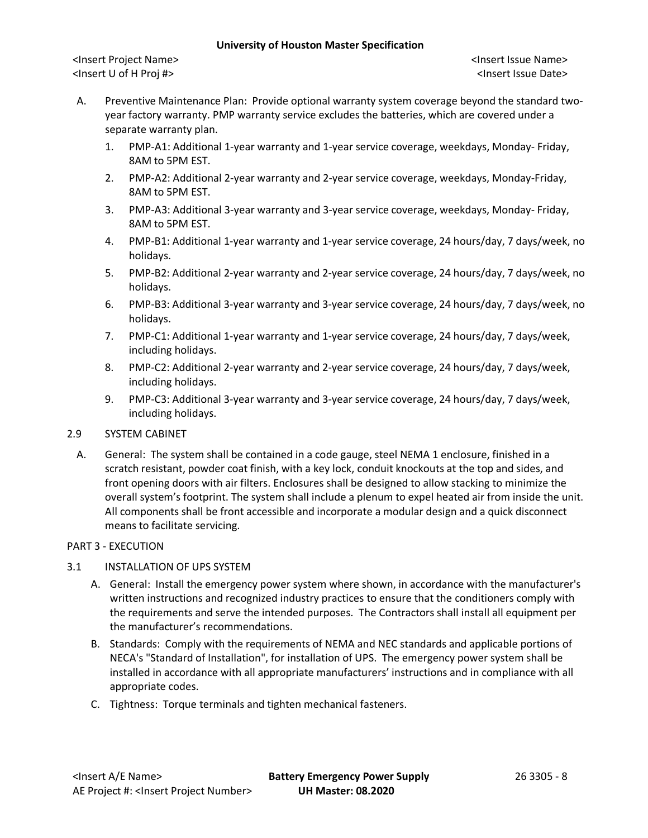<Insert Project Name> <Insert Issue Name> <Insert U of H Proj #> <Insert Issue Date>

- A. Preventive Maintenance Plan: Provide optional warranty system coverage beyond the standard twoyear factory warranty. PMP warranty service excludes the batteries, which are covered under a separate warranty plan.
	- 1. PMP-A1: Additional 1-year warranty and 1-year service coverage, weekdays, Monday- Friday, 8AM to 5PM EST.
	- 2. PMP-A2: Additional 2-year warranty and 2-year service coverage, weekdays, Monday-Friday, 8AM to 5PM EST.
	- 3. PMP-A3: Additional 3-year warranty and 3-year service coverage, weekdays, Monday- Friday, 8AM to 5PM EST.
	- 4. PMP-B1: Additional 1-year warranty and 1-year service coverage, 24 hours/day, 7 days/week, no holidays.
	- 5. PMP-B2: Additional 2-year warranty and 2-year service coverage, 24 hours/day, 7 days/week, no holidays.
	- 6. PMP-B3: Additional 3-year warranty and 3-year service coverage, 24 hours/day, 7 days/week, no holidays.
	- 7. PMP-C1: Additional 1-year warranty and 1-year service coverage, 24 hours/day, 7 days/week, including holidays.
	- 8. PMP-C2: Additional 2-year warranty and 2-year service coverage, 24 hours/day, 7 days/week, including holidays.
	- 9. PMP-C3: Additional 3-year warranty and 3-year service coverage, 24 hours/day, 7 days/week, including holidays.

# 2.9 SYSTEM CABINET

A. General: The system shall be contained in a code gauge, steel NEMA 1 enclosure, finished in a scratch resistant, powder coat finish, with a key lock, conduit knockouts at the top and sides, and front opening doors with air filters. Enclosures shall be designed to allow stacking to minimize the overall system's footprint. The system shall include a plenum to expel heated air from inside the unit. All components shall be front accessible and incorporate a modular design and a quick disconnect means to facilitate servicing.

# PART 3 - EXECUTION

# 3.1 INSTALLATION OF UPS SYSTEM

- A. General: Install the emergency power system where shown, in accordance with the manufacturer's written instructions and recognized industry practices to ensure that the conditioners comply with the requirements and serve the intended purposes. The Contractors shall install all equipment per the manufacturer's recommendations.
- B. Standards: Comply with the requirements of NEMA and NEC standards and applicable portions of NECA's "Standard of Installation", for installation of UPS. The emergency power system shall be installed in accordance with all appropriate manufacturers' instructions and in compliance with all appropriate codes.
- C. Tightness: Torque terminals and tighten mechanical fasteners.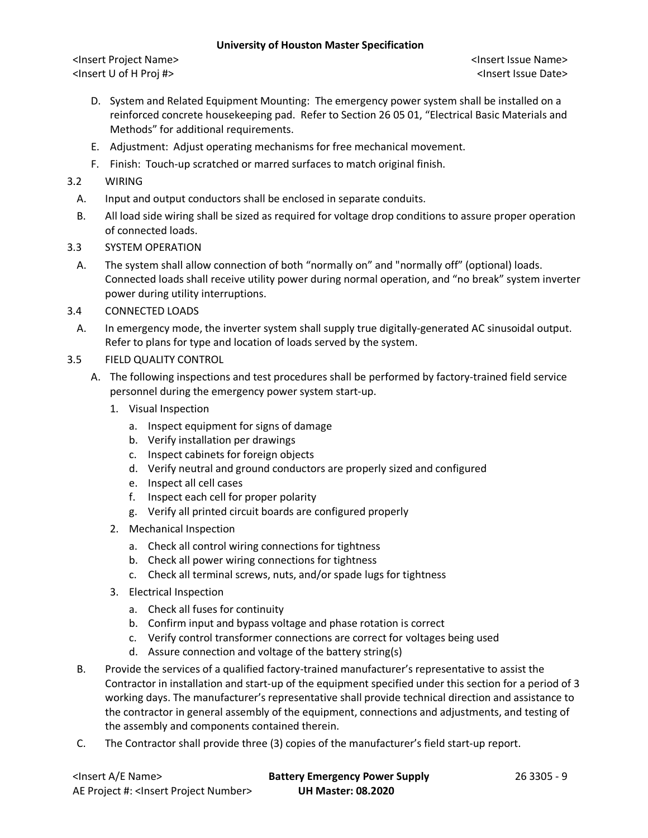- D. System and Related Equipment Mounting: The emergency power system shall be installed on a reinforced concrete housekeeping pad. Refer to Section 26 05 01, "Electrical Basic Materials and Methods" for additional requirements.
- E. Adjustment: Adjust operating mechanisms for free mechanical movement.
- F. Finish: Touch-up scratched or marred surfaces to match original finish.
- 3.2 WIRING
	- A. Input and output conductors shall be enclosed in separate conduits.
	- B. All load side wiring shall be sized as required for voltage drop conditions to assure proper operation of connected loads.
- 3.3 SYSTEM OPERATION
	- A. The system shall allow connection of both "normally on" and "normally off" (optional) loads. Connected loads shall receive utility power during normal operation, and "no break" system inverter power during utility interruptions.
- 3.4 CONNECTED LOADS
- A. In emergency mode, the inverter system shall supply true digitally-generated AC sinusoidal output. Refer to plans for type and location of loads served by the system.
- 3.5 FIELD QUALITY CONTROL
	- A. The following inspections and test procedures shall be performed by factory-trained field service personnel during the emergency power system start-up.
		- 1. Visual Inspection
			- a. Inspect equipment for signs of damage
			- b. Verify installation per drawings
			- c. Inspect cabinets for foreign objects
			- d. Verify neutral and ground conductors are properly sized and configured
			- e. Inspect all cell cases
			- f. Inspect each cell for proper polarity
			- g. Verify all printed circuit boards are configured properly
		- 2. Mechanical Inspection
			- a. Check all control wiring connections for tightness
			- b. Check all power wiring connections for tightness
			- c. Check all terminal screws, nuts, and/or spade lugs for tightness
		- 3. Electrical Inspection
			- a. Check all fuses for continuity
			- b. Confirm input and bypass voltage and phase rotation is correct
			- c. Verify control transformer connections are correct for voltages being used
			- d. Assure connection and voltage of the battery string(s)
	- B. Provide the services of a qualified factory-trained manufacturer's representative to assist the Contractor in installation and start-up of the equipment specified under this section for a period of 3 working days. The manufacturer's representative shall provide technical direction and assistance to the contractor in general assembly of the equipment, connections and adjustments, and testing of the assembly and components contained therein.
	- C. The Contractor shall provide three (3) copies of the manufacturer's field start-up report.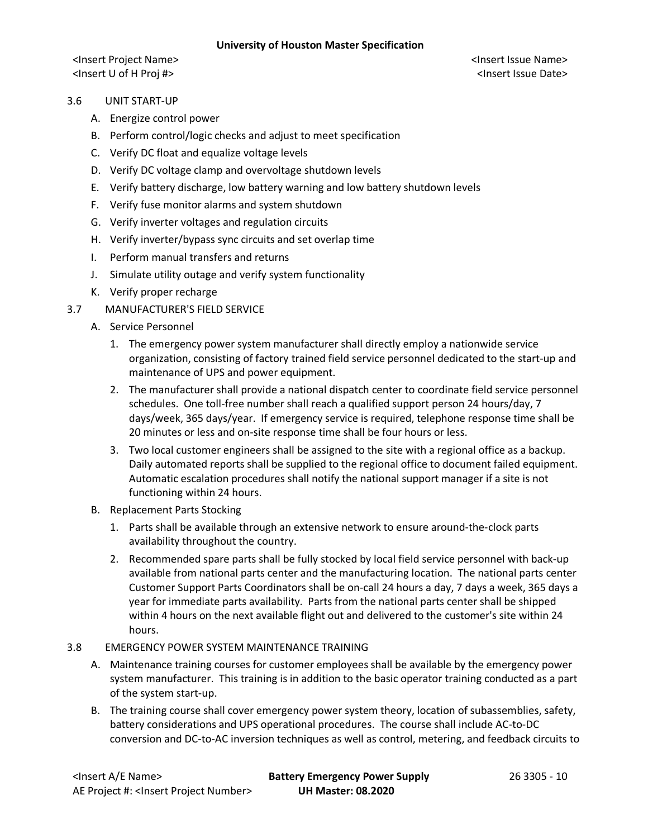- 3.6 UNIT START-UP
	- A. Energize control power
	- B. Perform control/logic checks and adjust to meet specification
	- C. Verify DC float and equalize voltage levels
	- D. Verify DC voltage clamp and overvoltage shutdown levels
	- E. Verify battery discharge, low battery warning and low battery shutdown levels
	- F. Verify fuse monitor alarms and system shutdown
	- G. Verify inverter voltages and regulation circuits
	- H. Verify inverter/bypass sync circuits and set overlap time
	- I. Perform manual transfers and returns
	- J. Simulate utility outage and verify system functionality
	- K. Verify proper recharge
- 3.7 MANUFACTURER'S FIELD SERVICE
	- A. Service Personnel
		- 1. The emergency power system manufacturer shall directly employ a nationwide service organization, consisting of factory trained field service personnel dedicated to the start-up and maintenance of UPS and power equipment.
		- 2. The manufacturer shall provide a national dispatch center to coordinate field service personnel schedules. One toll-free number shall reach a qualified support person 24 hours/day, 7 days/week, 365 days/year. If emergency service is required, telephone response time shall be 20 minutes or less and on-site response time shall be four hours or less.
		- 3. Two local customer engineers shall be assigned to the site with a regional office as a backup. Daily automated reports shall be supplied to the regional office to document failed equipment. Automatic escalation procedures shall notify the national support manager if a site is not functioning within 24 hours.
	- B. Replacement Parts Stocking
		- 1. Parts shall be available through an extensive network to ensure around-the-clock parts availability throughout the country.
		- 2. Recommended spare parts shall be fully stocked by local field service personnel with back-up available from national parts center and the manufacturing location. The national parts center Customer Support Parts Coordinators shall be on-call 24 hours a day, 7 days a week, 365 days a year for immediate parts availability. Parts from the national parts center shall be shipped within 4 hours on the next available flight out and delivered to the customer's site within 24 hours.
- 3.8 EMERGENCY POWER SYSTEM MAINTENANCE TRAINING
	- A. Maintenance training courses for customer employees shall be available by the emergency power system manufacturer. This training is in addition to the basic operator training conducted as a part of the system start-up.
	- B. The training course shall cover emergency power system theory, location of subassemblies, safety, battery considerations and UPS operational procedures. The course shall include AC-to-DC conversion and DC-to-AC inversion techniques as well as control, metering, and feedback circuits to